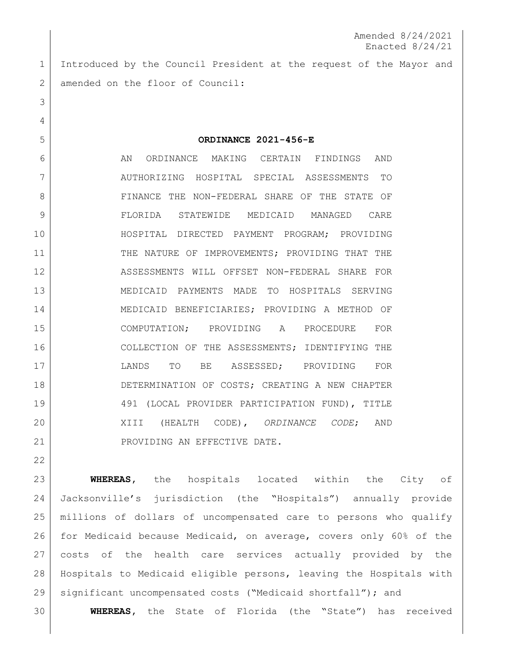Introduced by the Council President at the request of the Mayor and 2 amended on the floor of Council:

 **ORDINANCE 2021-456-E** 6 AN ORDINANCE MAKING CERTAIN FINDINGS AND AUTHORIZING HOSPITAL SPECIAL ASSESSMENTS TO 8 | FINANCE THE NON-FEDERAL SHARE OF THE STATE OF FLORIDA STATEWIDE MEDICAID MANAGED CARE HOSPITAL DIRECTED PAYMENT PROGRAM; PROVIDING 11 THE NATURE OF IMPROVEMENTS; PROVIDING THAT THE ASSESSMENTS WILL OFFSET NON-FEDERAL SHARE FOR MEDICAID PAYMENTS MADE TO HOSPITALS SERVING MEDICAID BENEFICIARIES; PROVIDING A METHOD OF COMPUTATION; PROVIDING A PROCEDURE FOR COLLECTION OF THE ASSESSMENTS; IDENTIFYING THE LANDS TO BE ASSESSED; PROVIDING FOR DETERMINATION OF COSTS; CREATING A NEW CHAPTER 491 (LOCAL PROVIDER PARTICIPATION FUND), TITLE XIII (HEALTH CODE), *ORDINANCE CODE*; AND 21 PROVIDING AN EFFECTIVE DATE.

 **WHEREAS,** the hospitals located within the City of Jacksonville's jurisdiction (the "Hospitals") annually provide millions of dollars of uncompensated care to persons who qualify for Medicaid because Medicaid, on average, covers only 60% of the costs of the health care services actually provided by the Hospitals to Medicaid eligible persons, leaving the Hospitals with significant uncompensated costs ("Medicaid shortfall"); and

**WHEREAS,** the State of Florida (the "State") has received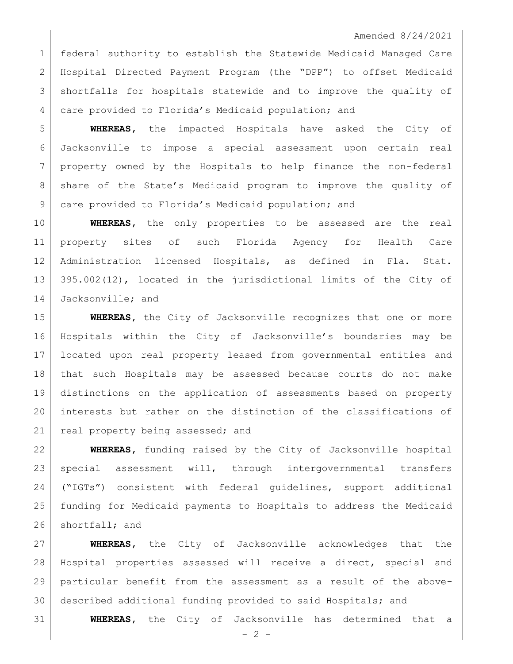federal authority to establish the Statewide Medicaid Managed Care Hospital Directed Payment Program (the "DPP") to offset Medicaid shortfalls for hospitals statewide and to improve the quality of care provided to Florida's Medicaid population; and

 **WHEREAS,** the impacted Hospitals have asked the City of Jacksonville to impose a special assessment upon certain real property owned by the Hospitals to help finance the non-federal share of the State's Medicaid program to improve the quality of care provided to Florida's Medicaid population; and

 **WHEREAS,** the only properties to be assessed are the real property sites of such Florida Agency for Health Care Administration licensed Hospitals, as defined in Fla. Stat. 395.002(12), located in the jurisdictional limits of the City of 14 Jacksonville; and

 **WHEREAS,** the City of Jacksonville recognizes that one or more Hospitals within the City of Jacksonville's boundaries may be located upon real property leased from governmental entities and that such Hospitals may be assessed because courts do not make distinctions on the application of assessments based on property interests but rather on the distinction of the classifications of 21 real property being assessed; and

 **WHEREAS,** funding raised by the City of Jacksonville hospital special assessment will, through intergovernmental transfers ("IGTs") consistent with federal guidelines, support additional funding for Medicaid payments to Hospitals to address the Medicaid 26 shortfall; and

 **WHEREAS,** the City of Jacksonville acknowledges that the Hospital properties assessed will receive a direct, special and particular benefit from the assessment as a result of the above-described additional funding provided to said Hospitals; and

**WHEREAS,** the City of Jacksonville has determined that a

 $-2 -$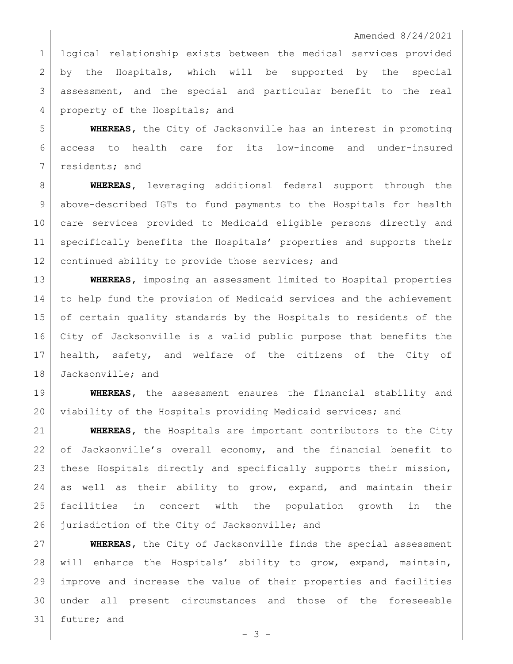logical relationship exists between the medical services provided by the Hospitals, which will be supported by the special assessment, and the special and particular benefit to the real 4 property of the Hospitals; and

 **WHEREAS,** the City of Jacksonville has an interest in promoting access to health care for its low-income and under-insured 7 residents; and

 **WHEREAS,** leveraging additional federal support through the above-described IGTs to fund payments to the Hospitals for health care services provided to Medicaid eligible persons directly and specifically benefits the Hospitals' properties and supports their 12 | continued ability to provide those services; and

 **WHEREAS,** imposing an assessment limited to Hospital properties to help fund the provision of Medicaid services and the achievement of certain quality standards by the Hospitals to residents of the City of Jacksonville is a valid public purpose that benefits the health, safety, and welfare of the citizens of the City of 18 Jacksonville; and

 **WHEREAS,** the assessment ensures the financial stability and 20 viability of the Hospitals providing Medicaid services; and

 **WHEREAS,** the Hospitals are important contributors to the City of Jacksonville's overall economy, and the financial benefit to these Hospitals directly and specifically supports their mission, as well as their ability to grow, expand, and maintain their facilities in concert with the population growth in the 26 jurisdiction of the City of Jacksonville; and

 **WHEREAS,** the City of Jacksonville finds the special assessment will enhance the Hospitals' ability to grow, expand, maintain, improve and increase the value of their properties and facilities under all present circumstances and those of the foreseeable future; and

- 3 -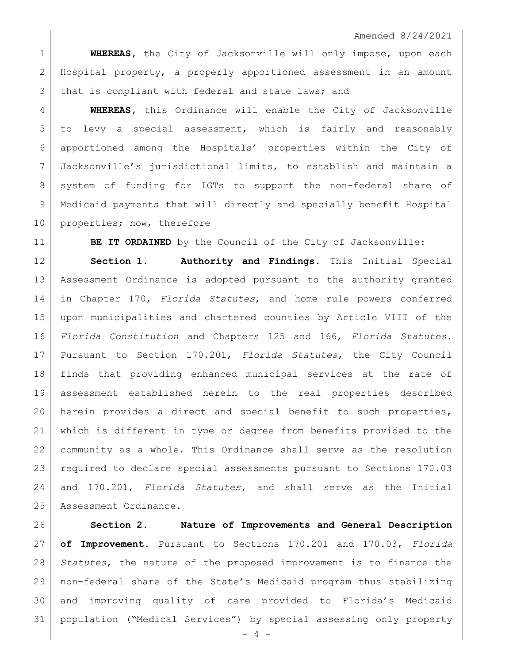**WHEREAS,** the City of Jacksonville will only impose, upon each Hospital property, a properly apportioned assessment in an amount 3 that is compliant with federal and state laws; and

 **WHEREAS,** this Ordinance will enable the City of Jacksonville to levy a special assessment, which is fairly and reasonably apportioned among the Hospitals' properties within the City of Jacksonville's jurisdictional limits, to establish and maintain a 8 system of funding for IGTs to support the non-federal share of 9 | Medicaid payments that will directly and specially benefit Hospital 10 properties; now, therefore

**BE IT ORDAINED** by the Council of the City of Jacksonville:

 **Section 1. Authority and Findings.** This Initial Special Assessment Ordinance is adopted pursuant to the authority granted in Chapter 170, *Florida Statutes*, and home rule powers conferred upon municipalities and chartered counties by Article VIII of the *Florida Constitution* and Chapters 125 and 166, *Florida Statutes*. Pursuant to Section 170.201, *Florida Statutes*, the City Council finds that providing enhanced municipal services at the rate of assessment established herein to the real properties described herein provides a direct and special benefit to such properties, which is different in type or degree from benefits provided to the community as a whole. This Ordinance shall serve as the resolution required to declare special assessments pursuant to Sections 170.03 and 170.201, *Florida Statutes*, and shall serve as the Initial 25 | Assessment Ordinance.

 **Section 2. Nature of Improvements and General Description of Improvement.** Pursuant to Sections 170.201 and 170.03, *Florida Statutes*, the nature of the proposed improvement is to finance the non-federal share of the State's Medicaid program thus stabilizing and improving quality of care provided to Florida's Medicaid population ("Medical Services") by special assessing only property

- 4 -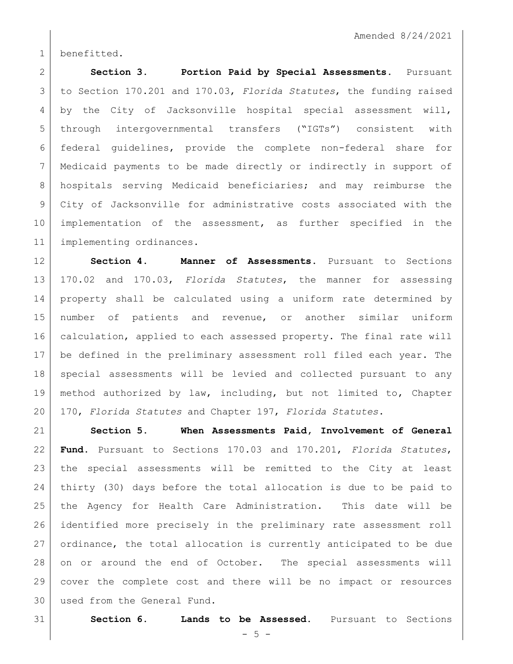benefitted.

 **Section 3. Portion Paid by Special Assessments.** Pursuant to Section 170.201 and 170.03, *Florida Statutes*, the funding raised 4 by the City of Jacksonville hospital special assessment will, through intergovernmental transfers ("IGTs") consistent with federal guidelines, provide the complete non-federal share for Medicaid payments to be made directly or indirectly in support of hospitals serving Medicaid beneficiaries; and may reimburse the City of Jacksonville for administrative costs associated with the implementation of the assessment, as further specified in the implementing ordinances.

 **Section 4. Manner of Assessments.** Pursuant to Sections 170.02 and 170.03, *Florida Statutes*, the manner for assessing property shall be calculated using a uniform rate determined by number of patients and revenue, or another similar uniform calculation, applied to each assessed property. The final rate will be defined in the preliminary assessment roll filed each year. The special assessments will be levied and collected pursuant to any method authorized by law, including, but not limited to, Chapter 170, *Florida Statutes* and Chapter 197, *Florida Statutes*.

 **Section 5. When Assessments Paid, Involvement of General Fund.** Pursuant to Sections 170.03 and 170.201, *Florida Statutes*, the special assessments will be remitted to the City at least thirty (30) days before the total allocation is due to be paid to the Agency for Health Care Administration. This date will be identified more precisely in the preliminary rate assessment roll ordinance, the total allocation is currently anticipated to be due on or around the end of October. The special assessments will cover the complete cost and there will be no impact or resources used from the General Fund.

**Section 6. Lands to be Assessed.** Pursuant to Sections

 $-5 -$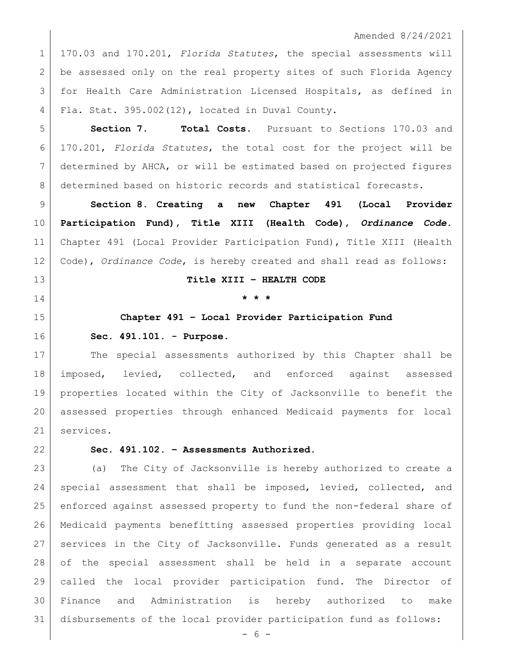170.03 and 170.201, *Florida Statutes*, the special assessments will be assessed only on the real property sites of such Florida Agency for Health Care Administration Licensed Hospitals, as defined in Fla. Stat. 395.002(12), located in Duval County.

5 | **Section 7. Total Costs.** Pursuant to Sections 170.03 and 170.201, *Florida Statutes*, the total cost for the project will be determined by AHCA, or will be estimated based on projected figures 8 determined based on historic records and statistical forecasts.

 **Section 8. Creating a new Chapter 491 (Local Provider Participation Fund), Title XIII (Health Code),** *Ordinance Code***.**  Chapter 491 (Local Provider Participation Fund), Title XIII (Health Code), *Ordinance Code*, is hereby created and shall read as follows:

#### **Title XIII – HEALTH CODE**

## **\* \* \***

# **Chapter 491 – Local Provider Participation Fund**

#### **Sec. 491.101. - Purpose.**

17 The special assessments authorized by this Chapter shall be imposed, levied, collected, and enforced against assessed properties located within the City of Jacksonville to benefit the assessed properties through enhanced Medicaid payments for local services.

### **Sec. 491.102. – Assessments Authorized.**

 (a) The City of Jacksonville is hereby authorized to create a 24 special assessment that shall be imposed, levied, collected, and enforced against assessed property to fund the non-federal share of Medicaid payments benefitting assessed properties providing local services in the City of Jacksonville. Funds generated as a result of the special assessment shall be held in a separate account called the local provider participation fund. The Director of Finance and Administration is hereby authorized to make disbursements of the local provider participation fund as follows:

- 6 -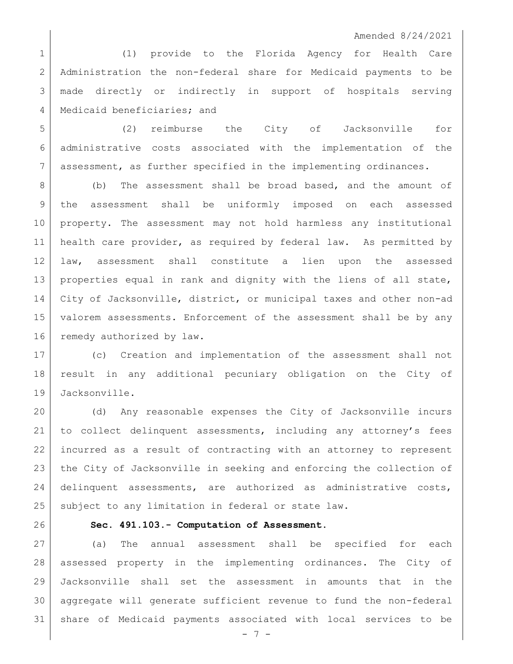(1) provide to the Florida Agency for Health Care Administration the non-federal share for Medicaid payments to be made directly or indirectly in support of hospitals serving 4 | Medicaid beneficiaries; and

 (2) reimburse the City of Jacksonville for administrative costs associated with the implementation of the assessment, as further specified in the implementing ordinances.

8 (b) The assessment shall be broad based, and the amount of the assessment shall be uniformly imposed on each assessed property. The assessment may not hold harmless any institutional health care provider, as required by federal law. As permitted by law, assessment shall constitute a lien upon the assessed properties equal in rank and dignity with the liens of all state, City of Jacksonville, district, or municipal taxes and other non-ad valorem assessments. Enforcement of the assessment shall be by any 16 remedy authorized by law.

 (c) Creation and implementation of the assessment shall not result in any additional pecuniary obligation on the City of Jacksonville.

 (d) Any reasonable expenses the City of Jacksonville incurs to collect delinquent assessments, including any attorney's fees incurred as a result of contracting with an attorney to represent the City of Jacksonville in seeking and enforcing the collection of delinquent assessments, are authorized as administrative costs, 25 | subject to any limitation in federal or state law.

# **Sec. 491.103.- Computation of Assessment.**

 (a) The annual assessment shall be specified for each assessed property in the implementing ordinances. The City of Jacksonville shall set the assessment in amounts that in the aggregate will generate sufficient revenue to fund the non-federal share of Medicaid payments associated with local services to be

- 7 -